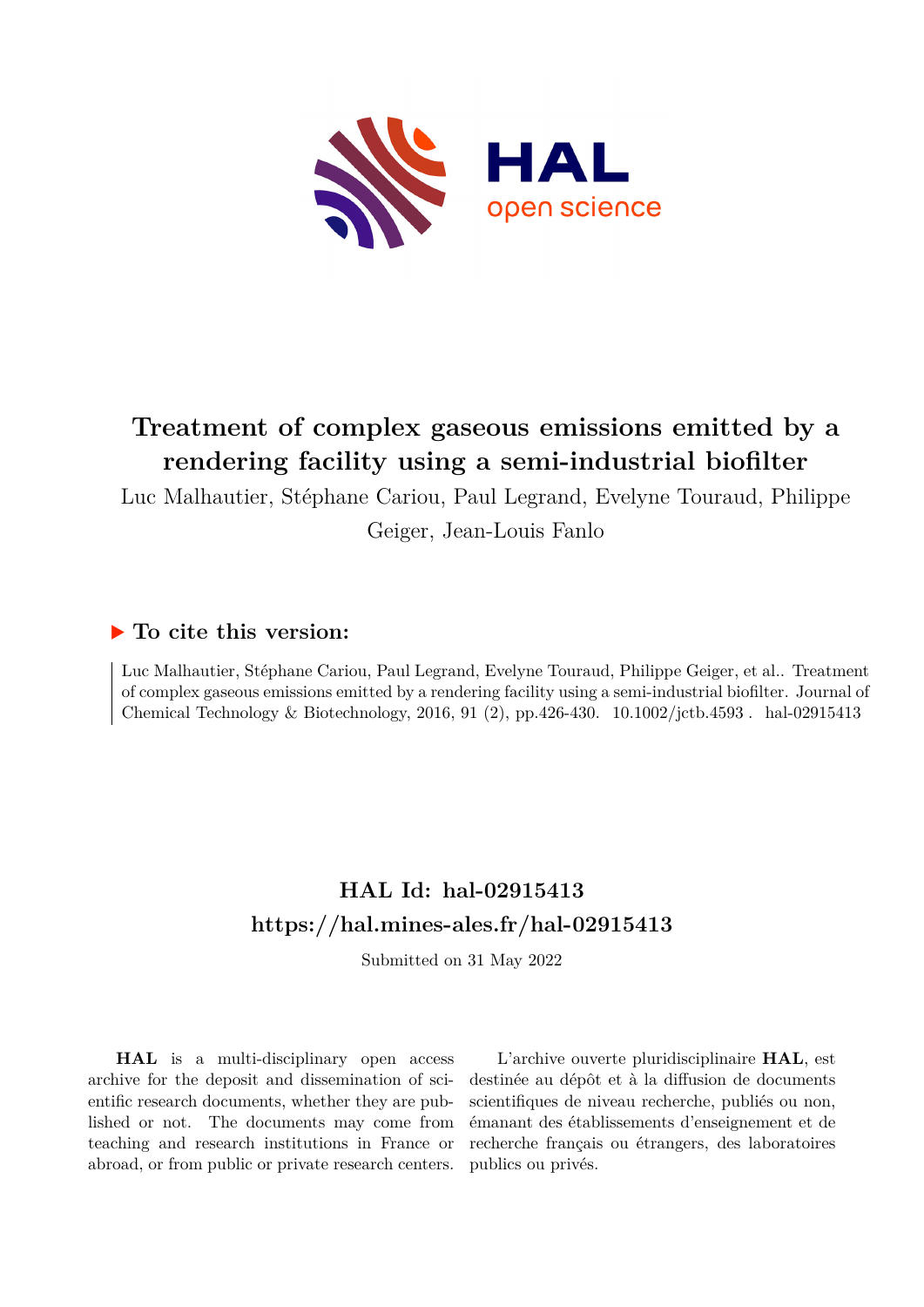

# **Treatment of complex gaseous emissions emitted by a rendering facility using a semi-industrial biofilter**

Luc Malhautier, Stéphane Cariou, Paul Legrand, Evelyne Touraud, Philippe

Geiger, Jean-Louis Fanlo

# **To cite this version:**

Luc Malhautier, Stéphane Cariou, Paul Legrand, Evelyne Touraud, Philippe Geiger, et al.. Treatment of complex gaseous emissions emitted by a rendering facility using a semi-industrial biofilter. Journal of Chemical Technology & Biotechnology, 2016, 91 (2), pp.426-430.  $10.1002/jctb.4593$ . hal-02915413

# **HAL Id: hal-02915413 <https://hal.mines-ales.fr/hal-02915413>**

Submitted on 31 May 2022

**HAL** is a multi-disciplinary open access archive for the deposit and dissemination of scientific research documents, whether they are published or not. The documents may come from teaching and research institutions in France or abroad, or from public or private research centers.

L'archive ouverte pluridisciplinaire **HAL**, est destinée au dépôt et à la diffusion de documents scientifiques de niveau recherche, publiés ou non, émanant des établissements d'enseignement et de recherche français ou étrangers, des laboratoires publics ou privés.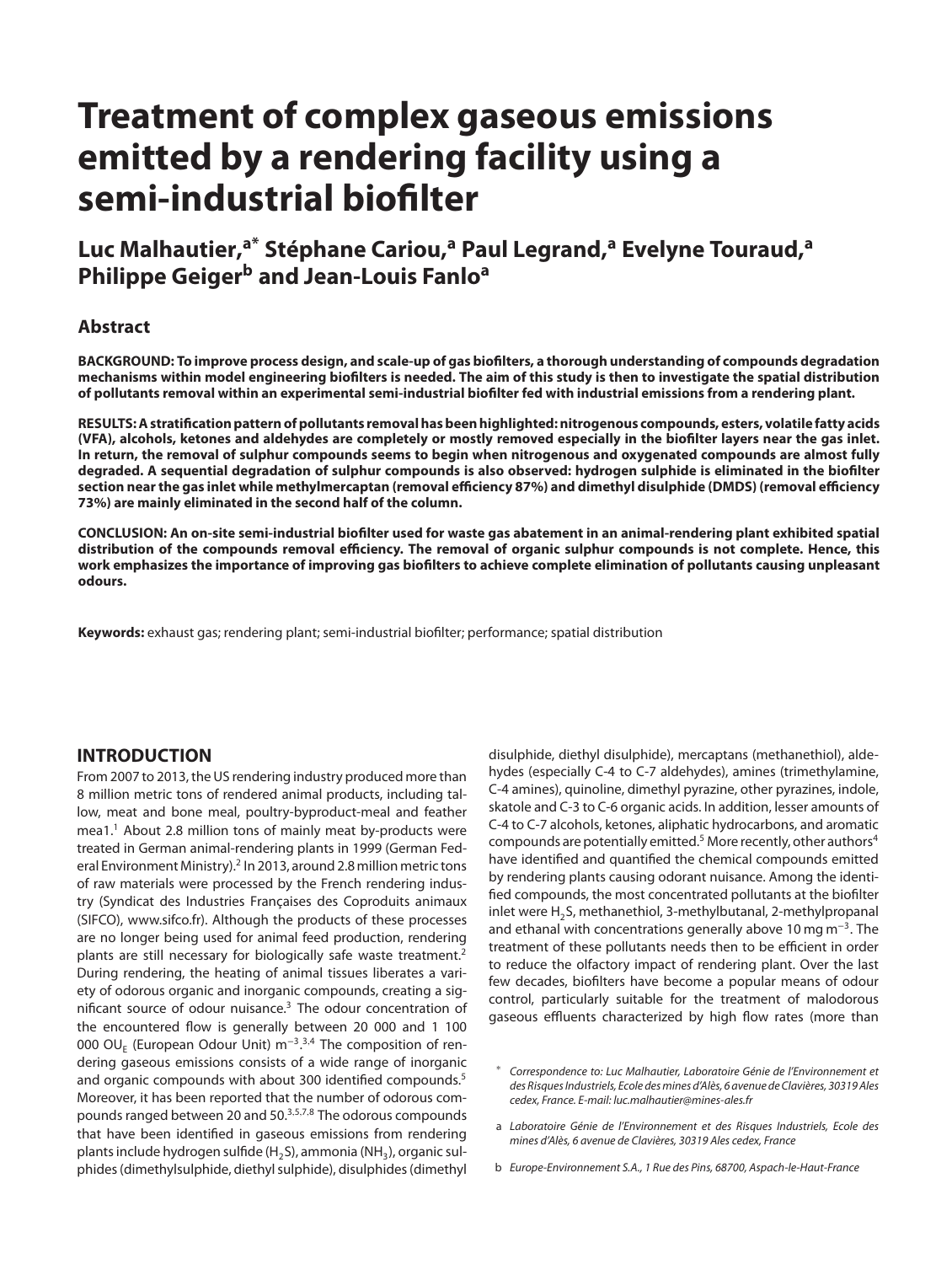# **Treatment of complex gaseous emissions emitted by a rendering facility using a semi-industrial biofilter**

# **Luc Malhautier,a\* Stéphane Cariou,<sup>a</sup> Paul Legrand,<sup>a</sup> Evelyne Touraud,<sup>a</sup> Philippe Geiger<sup>b</sup> and Jean-Louis Fanlo<sup>a</sup>**

# **Abstract**

BACKGROUND: To improve process design, and scale-up of gas biofilters, a thorough understanding of compounds degradation mechanisms within model engineering biofilters is needed. The aim of this study is then to investigate the spatial distribution of pollutants removal within an experimental semi-industrial biofilter fed with industrial emissions from a rendering plant.

**RESULTS:Astratificationpatternofpollutants removalhasbeenhighlighted:nitrogenous compounds, esters, volatile fatty acids** (VFA), alcohols, ketones and aldehydes are completely or mostly removed especially in the biofilter layers near the gas inlet. In return, the removal of sulphur compounds seems to begin when nitrogenous and oxygenated compounds are almost fully degraded. A sequential degradation of sulphur compounds is also observed: hydrogen sulphide is eliminated in the biofilter section near the gas inlet while methylmercaptan (removal efficiency 87%) and dimethyl disulphide (DMDS) (removal efficiency **73%) are mainly eliminated in the second half of the column.**

CONCLUSION: An on-site semi-industrial biofilter used for waste gas abatement in an animal-rendering plant exhibited spatial distribution of the compounds removal efficiency. The removal of organic sulphur compounds is not complete. Hence, this work emphasizes the importance of improving gas biofilters to achieve complete elimination of pollutants causing unpleasant **odours.**

**Keywords:** exhaust gas; rendering plant; semi-industrial biofilter; performance; spatial distribution

# **INTRODUCTION**

From 2007 to 2013, the US rendering industry produced more than 8 million metric tons of rendered animal products, including tallow, meat and bone meal, poultry-byproduct-meal and feather mea1.<sup>1</sup> About 2.8 million tons of mainly meat by-products were treated in German animal-rendering plants in 1999 (German Federal Environment Ministry).<sup>2</sup> In 2013, around 2.8 million metric tons of raw materials were processed by the French rendering industry (Syndicat des Industries Françaises des Coproduits animaux (SIFCO), www.sifco.fr). Although the products of these processes are no longer being used for animal feed production, rendering plants are still necessary for biologically safe waste treatment.2 During rendering, the heating of animal tissues liberates a variety of odorous organic and inorganic compounds, creating a significant source of odour nuisance.3 The odour concentration of the encountered flow is generally between 20 000 and 1 100 000 OU<sub>E</sub> (European Odour Unit) m<sup>−3</sup>.<sup>3,4</sup> The composition of rendering gaseous emissions consists of a wide range of inorganic and organic compounds with about 300 identified compounds.<sup>5</sup> Moreover, it has been reported that the number of odorous compounds ranged between 20 and 50.3*,*5*,*7*,*<sup>8</sup> The odorous compounds that have been identified in gaseous emissions from rendering plants include hydrogen sulfide (H<sub>2</sub>S), ammonia (NH<sub>3</sub>), organic sulphides (dimethylsulphide, diethyl sulphide), disulphides (dimethyl

disulphide, diethyl disulphide), mercaptans (methanethiol), aldehydes (especially C-4 to C-7 aldehydes), amines (trimethylamine, C-4 amines), quinoline, dimethyl pyrazine, other pyrazines, indole, skatole and C-3 to C-6 organic acids. In addition, lesser amounts of C-4 to C-7 alcohols, ketones, aliphatic hydrocarbons, and aromatic compounds are potentially emitted.<sup>5</sup> More recently, other authors<sup>4</sup> have identified and quantified the chemical compounds emitted by rendering plants causing odorant nuisance. Among the identified compounds, the most concentrated pollutants at the biofilter inlet were H<sub>2</sub>S, methanethiol, 3-methylbutanal, 2-methylpropanal and ethanal with concentrations generally above 10 mg m<sup>-3</sup>. The treatment of these pollutants needs then to be efficient in order to reduce the olfactory impact of rendering plant. Over the last few decades, biofilters have become a popular means of odour control, particularly suitable for the treatment of malodorous gaseous effluents characterized by high flow rates (more than

- a Laboratoire Génie de l'Environnement et des Risques Industriels, Ecole des mines d'Alès, 6 avenue de Clavières, 30319 Ales cedex, France
- b Europe-Environnement S.A., 1 Rue des Pins, 68700, Aspach-le-Haut-France

<sup>∗</sup> Correspondence to: Luc Malhautier, Laboratoire Génie de l'Environnement et des Risques Industriels, Ecole des mines d'Alès, 6 avenue de Clavières, 30319 Ales cedex, France. E-mail: luc.malhautier@mines-ales.fr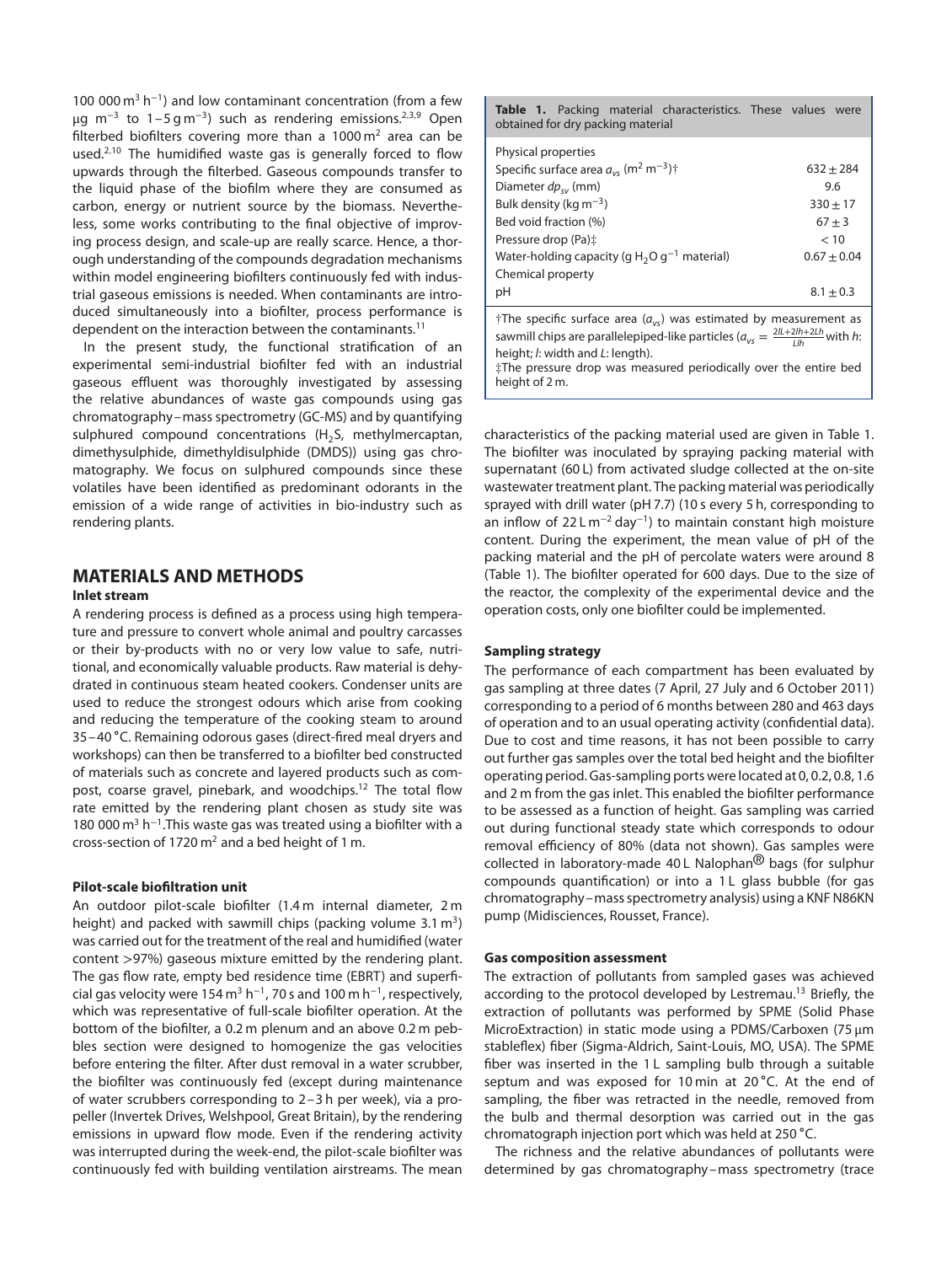100 000 m<sup>3</sup> h<sup>-1</sup>) and low contaminant concentration (from a few μg m<sup>−</sup><sup>3</sup> to 1–5 g m<sup>−</sup>3) such as rendering emissions.2*,*3*,*<sup>9</sup> Open filterbed biofilters covering more than a  $1000 \text{ m}^2$  area can be used.2*,*<sup>10</sup> The humidified waste gas is generally forced to flow upwards through the filterbed. Gaseous compounds transfer to the liquid phase of the biofilm where they are consumed as carbon, energy or nutrient source by the biomass. Nevertheless, some works contributing to the final objective of improving process design, and scale-up are really scarce. Hence, a thorough understanding of the compounds degradation mechanisms within model engineering biofilters continuously fed with industrial gaseous emissions is needed. When contaminants are introduced simultaneously into a biofilter, process performance is dependent on the interaction between the contaminants.<sup>11</sup>

In the present study, the functional stratification of an experimental semi-industrial biofilter fed with an industrial gaseous effluent was thoroughly investigated by assessing the relative abundances of waste gas compounds using gas chromatography–mass spectrometry (GC-MS) and by quantifying sulphured compound concentrations ( $H_2S$ , methylmercaptan, dimethysulphide, dimethyldisulphide (DMDS)) using gas chromatography. We focus on sulphured compounds since these volatiles have been identified as predominant odorants in the emission of a wide range of activities in bio-industry such as rendering plants.

# **MATERIALS AND METHODS**

#### **Inlet stream**

A rendering process is defined as a process using high temperature and pressure to convert whole animal and poultry carcasses or their by-products with no or very low value to safe, nutritional, and economically valuable products. Raw material is dehydrated in continuous steam heated cookers. Condenser units are used to reduce the strongest odours which arise from cooking and reducing the temperature of the cooking steam to around 35–40 ∘C. Remaining odorous gases (direct-fired meal dryers and workshops) can then be transferred to a biofilter bed constructed of materials such as concrete and layered products such as compost, coarse gravel, pinebark, and woodchips.<sup>12</sup> The total flow rate emitted by the rendering plant chosen as study site was 180 000 m<sup>3</sup> h<sup>-1</sup>. This waste gas was treated using a biofilter with a cross-section of 1720  $m^2$  and a bed height of 1 m.

### **Pilot-scale biofiltration unit**

An outdoor pilot-scale biofilter (1.4 m internal diameter, 2 m height) and packed with sawmill chips (packing volume  $3.1 \text{ m}^3$ ) was carried out for the treatment of the real and humidified (water content *>*97%) gaseous mixture emitted by the rendering plant. The gas flow rate, empty bed residence time (EBRT) and superficial gas velocity were 154 m<sup>3</sup> h<sup>-1</sup>, 70 s and 100 m h<sup>-1</sup>, respectively, which was representative of full-scale biofilter operation. At the bottom of the biofilter, a 0.2 m plenum and an above 0.2 m pebbles section were designed to homogenize the gas velocities before entering the filter. After dust removal in a water scrubber, the biofilter was continuously fed (except during maintenance of water scrubbers corresponding to 2–3 h per week), via a propeller (Invertek Drives, Welshpool, Great Britain), by the rendering emissions in upward flow mode. Even if the rendering activity was interrupted during the week-end, the pilot-scale biofilter was continuously fed with building ventilation airstreams. The mean

**Table 1.** Packing material characteristics. These values were obtained for dry packing material

| Physical properties                                                              |               |
|----------------------------------------------------------------------------------|---------------|
| Specific surface area $a_{\nu s}$ (m <sup>2</sup> m <sup>-3</sup> ) <sup>†</sup> | $632 + 284$   |
| Diameter $dp_{\rm sv}$ (mm)                                                      | 9.6           |
| Bulk density (kg $m^{-3}$ )                                                      | $330 + 17$    |
| Bed void fraction (%)                                                            | $67 + 3$      |
| Pressure drop (Pa):                                                              | < 10          |
| Water-holding capacity (g $H_2O g^{-1}$ material)                                | $0.67 + 0.04$ |
| Chemical property                                                                |               |
| рH                                                                               | $8.1 + 0.3$   |

†The specific surface area ( $a_{vs}$ ) was estimated by measurement as sawmill chips are parallelepiped-like particles ( $a_{vs} = \frac{2ll + 2lh + 2Lh}{Llh}$  with h: height; l: width and L: length).

‡The pressure drop was measured periodically over the entire bed height of 2 m.

characteristics of the packing material used are given in Table 1. The biofilter was inoculated by spraying packing material with supernatant (60 L) from activated sludge collected at the on-site wastewater treatment plant. The packing material was periodically sprayed with drill water (pH 7.7) (10 s every 5 h, corresponding to an inflow of 22 L m<sup>-2</sup> day<sup>-1</sup>) to maintain constant high moisture content. During the experiment, the mean value of pH of the packing material and the pH of percolate waters were around 8 (Table 1). The biofilter operated for 600 days. Due to the size of the reactor, the complexity of the experimental device and the operation costs, only one biofilter could be implemented.

#### **Sampling strategy**

The performance of each compartment has been evaluated by gas sampling at three dates (7 April, 27 July and 6 October 2011) corresponding to a period of 6 months between 280 and 463 days of operation and to an usual operating activity (confidential data). Due to cost and time reasons, it has not been possible to carry out further gas samples over the total bed height and the biofilter operating period. Gas-sampling ports were located at 0, 0.2, 0.8, 1.6 and 2 m from the gas inlet. This enabled the biofilter performance to be assessed as a function of height. Gas sampling was carried out during functional steady state which corresponds to odour removal efficiency of 80% (data not shown). Gas samples were collected in laboratory-made 40 L Nalophan® bags (for sulphur compounds quantification) or into a 1 L glass bubble (for gas chromatography–mass spectrometry analysis) using a KNF N86KN pump (Midisciences, Rousset, France).

#### **Gas composition assessment**

The extraction of pollutants from sampled gases was achieved according to the protocol developed by Lestremau.<sup>13</sup> Briefly, the extraction of pollutants was performed by SPME (Solid Phase MicroExtraction) in static mode using a PDMS/Carboxen (75 μm stableflex) fiber (Sigma-Aldrich, Saint-Louis, MO, USA). The SPME fiber was inserted in the 1L sampling bulb through a suitable septum and was exposed for 10 min at 20 °C. At the end of sampling, the fiber was retracted in the needle, removed from the bulb and thermal desorption was carried out in the gas chromatograph injection port which was held at 250 ∘C.

The richness and the relative abundances of pollutants were determined by gas chromatography–mass spectrometry (trace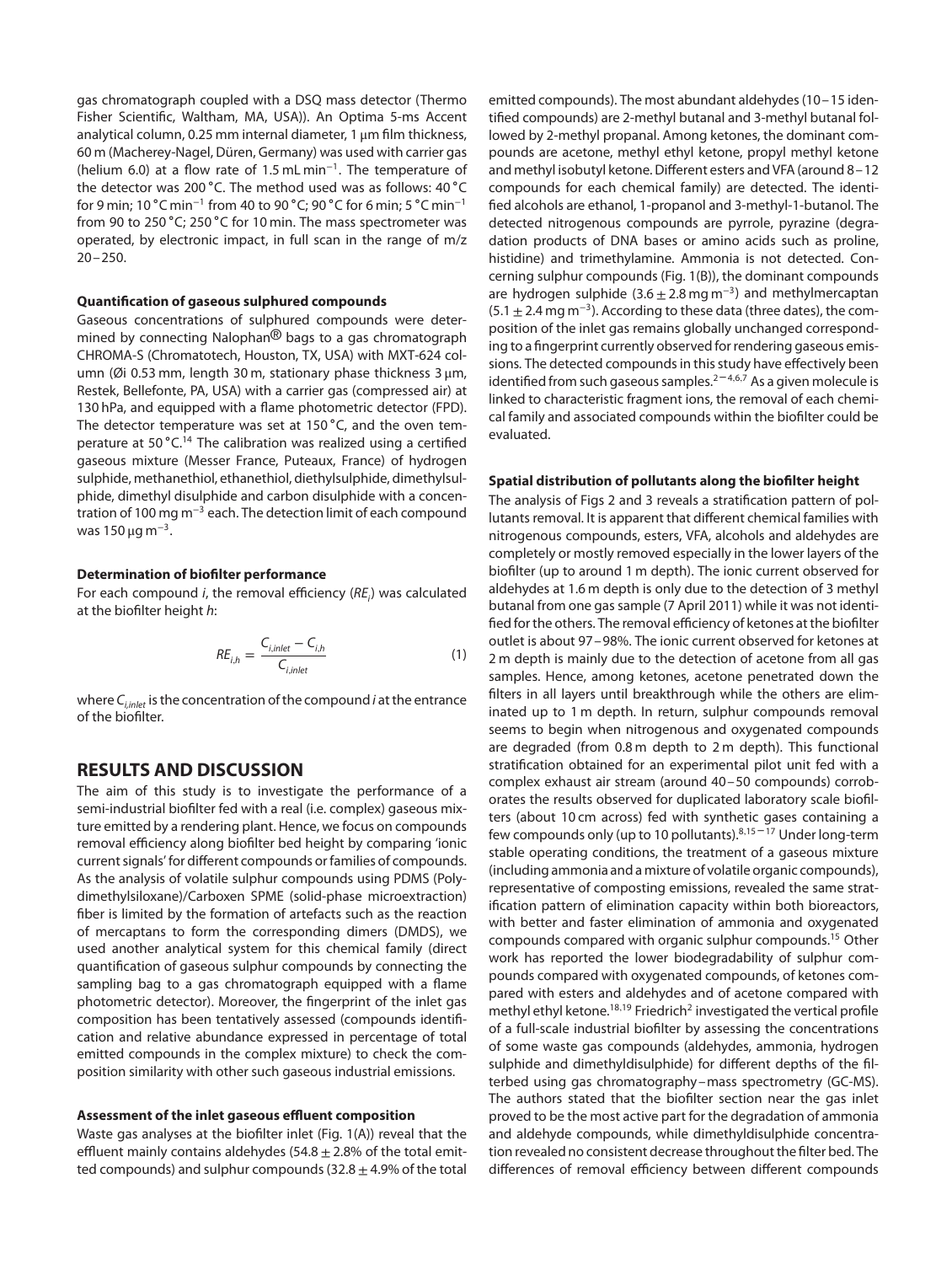gas chromatograph coupled with a DSQ mass detector (Thermo Fisher Scientific, Waltham, MA, USA)). An Optima 5-ms Accent analytical column, 0.25 mm internal diameter, 1 μm film thickness, 60 m (Macherey-Nagel, Düren, Germany) was used with carrier gas (helium 6.0) at a flow rate of 1.5 mL min<sup>−</sup>1. The temperature of the detector was 200 ∘C. The method used was as follows: 40 ∘C for 9 min; 10 ∘C min<sup>−</sup><sup>1</sup> from 40 to 90 ∘C; 90 ∘C for 6 min; 5 ∘C min<sup>−</sup><sup>1</sup> from 90 to 250 ∘C; 250 ∘C for 10 min. The mass spectrometer was operated, by electronic impact, in full scan in the range of m/z  $20 - 250$ .

#### **Quantification of gaseous sulphured compounds**

Gaseous concentrations of sulphured compounds were determined by connecting Nalophan<sup>®</sup> bags to a gas chromatograph CHROMA-S (Chromatotech, Houston, TX, USA) with MXT-624 column (Øi 0.53 mm, length 30 m, stationary phase thickness 3 μm, Restek, Bellefonte, PA, USA) with a carrier gas (compressed air) at 130 hPa, and equipped with a flame photometric detector (FPD). The detector temperature was set at 150 ∘C, and the oven temperature at 50 °C.<sup>14</sup> The calibration was realized using a certified gaseous mixture (Messer France, Puteaux, France) of hydrogen sulphide, methanethiol, ethanethiol, diethylsulphide, dimethylsulphide, dimethyl disulphide and carbon disulphide with a concentration of 100 mg m<sup>−</sup><sup>3</sup> each. The detection limit of each compound was 150  $\mu$ g m<sup>-3</sup>.

#### **Determination of biofilter performance**

For each compound *i*, the removal efficiency ( $RE<sub>i</sub>$ ) was calculated at the biofilter height h:

$$
RE_{i,h} = \frac{C_{i,inlet} - C_{i,h}}{C_{i,inlet}}
$$
 (1)

where  $C_{i,inter}$  is the concentration of the compound *i* at the entrance of the biofilter.

## **RESULTS AND DISCUSSION**

The aim of this study is to investigate the performance of a semi-industrial biofilter fed with a real (i.e. complex) gaseous mixture emitted by a rendering plant. Hence, we focus on compounds removal efficiency along biofilter bed height by comparing 'ionic current signals' for different compounds or families of compounds. As the analysis of volatile sulphur compounds using PDMS (Polydimethylsiloxane)/Carboxen SPME (solid-phase microextraction) fiber is limited by the formation of artefacts such as the reaction of mercaptans to form the corresponding dimers (DMDS), we used another analytical system for this chemical family (direct quantification of gaseous sulphur compounds by connecting the sampling bag to a gas chromatograph equipped with a flame photometric detector). Moreover, the fingerprint of the inlet gas composition has been tentatively assessed (compounds identification and relative abundance expressed in percentage of total emitted compounds in the complex mixture) to check the composition similarity with other such gaseous industrial emissions.

#### **Assessment of the inlet gaseous effluent composition**

Waste gas analyses at the biofilter inlet (Fig. 1(A)) reveal that the effluent mainly contains aldehydes (54.8  $\pm$  2.8% of the total emitted compounds) and sulphur compounds  $(32.8 \pm 4.9\%)$  of the total emitted compounds). The most abundant aldehydes (10–15 identified compounds) are 2-methyl butanal and 3-methyl butanal followed by 2-methyl propanal. Among ketones, the dominant compounds are acetone, methyl ethyl ketone, propyl methyl ketone and methyl isobutyl ketone. Different esters and VFA (around 8–12 compounds for each chemical family) are detected. The identified alcohols are ethanol, 1-propanol and 3-methyl-1-butanol. The detected nitrogenous compounds are pyrrole, pyrazine (degradation products of DNA bases or amino acids such as proline, histidine) and trimethylamine. Ammonia is not detected. Concerning sulphur compounds (Fig. 1(B)), the dominant compounds are hydrogen sulphide  $(3.6 \pm 2.8 \text{ mg m}^{-3})$  and methylmercaptan  $(5.1 \pm 2.4 \,\text{mg m}^{-3})$ . According to these data (three dates), the composition of the inlet gas remains globally unchanged corresponding to a fingerprint currently observed for rendering gaseous emissions. The detected compounds in this study have effectively been identified from such gaseous samples.<sup>2-4,6,7</sup> As a given molecule is linked to characteristic fragment ions, the removal of each chemical family and associated compounds within the biofilter could be evaluated.

#### **Spatial distribution of pollutants along the biofilter height**

The analysis of Figs 2 and 3 reveals a stratification pattern of pollutants removal. It is apparent that different chemical families with nitrogenous compounds, esters, VFA, alcohols and aldehydes are completely or mostly removed especially in the lower layers of the biofilter (up to around 1 m depth). The ionic current observed for aldehydes at 1.6 m depth is only due to the detection of 3 methyl butanal from one gas sample (7 April 2011) while it was not identified for the others. The removal efficiency of ketones at the biofilter outlet is about 97–98%. The ionic current observed for ketones at 2 m depth is mainly due to the detection of acetone from all gas samples. Hence, among ketones, acetone penetrated down the filters in all layers until breakthrough while the others are eliminated up to 1 m depth. In return, sulphur compounds removal seems to begin when nitrogenous and oxygenated compounds are degraded (from 0.8 m depth to 2 m depth). This functional stratification obtained for an experimental pilot unit fed with a complex exhaust air stream (around 40–50 compounds) corroborates the results observed for duplicated laboratory scale biofilters (about 10 cm across) fed with synthetic gases containing a few compounds only (up to 10 pollutants).8*,*<sup>15</sup> – <sup>17</sup> Under long-term stable operating conditions, the treatment of a gaseous mixture (including ammonia and a mixture of volatile organic compounds), representative of composting emissions, revealed the same stratification pattern of elimination capacity within both bioreactors, with better and faster elimination of ammonia and oxygenated compounds compared with organic sulphur compounds.15 Other work has reported the lower biodegradability of sulphur compounds compared with oxygenated compounds, of ketones compared with esters and aldehydes and of acetone compared with methyl ethyl ketone.<sup>18,19</sup> Friedrich<sup>2</sup> investigated the vertical profile of a full-scale industrial biofilter by assessing the concentrations of some waste gas compounds (aldehydes, ammonia, hydrogen sulphide and dimethyldisulphide) for different depths of the filterbed using gas chromatography–mass spectrometry (GC-MS). The authors stated that the biofilter section near the gas inlet proved to be the most active part for the degradation of ammonia and aldehyde compounds, while dimethyldisulphide concentration revealed no consistent decrease throughout the filter bed. The differences of removal efficiency between different compounds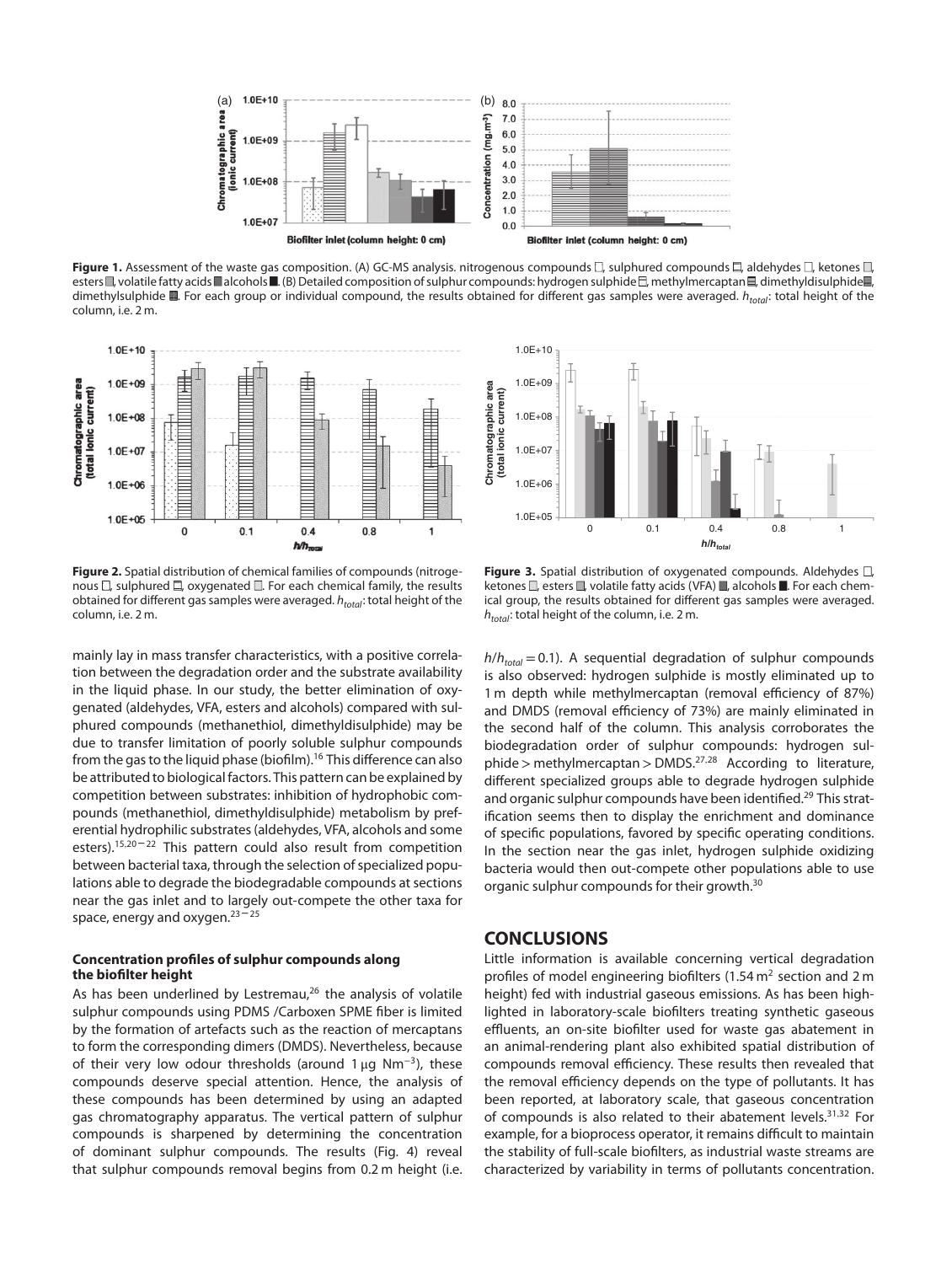

Figure 1. Assessment of the waste gas composition. (A) GC-MS analysis. nitrogenous compounds  $\square$ , sulphured compounds  $\Xi$ , aldehydes  $\square$ , ketones  $\square$ , esters  $\Box$ , volatile fatty acids  $\Box$  alcohols  $\Box$ . (B) Detailed composition of sulphur compounds: hydrogen sulphide  $\Box$ , methylmercaptan  $\Box$ , dimethyldisulphide  $\Box$ , dimethylsulphide  $\blacksquare$ . For each group or individual compound, the results obtained for different gas samples were averaged.  $h_{total}$ : total height of the column, i.e. 2 m.



**Figure 2.** Spatial distribution of chemical families of compounds (nitrogenous  $\square$ , sulphured  $\square$ , oxygenated  $\square$ . For each chemical family, the results obtained for different gas samples were averaged.  $h_{total}$ : total height of the column, i.e. 2 m.

mainly lay in mass transfer characteristics, with a positive correlation between the degradation order and the substrate availability in the liquid phase. In our study, the better elimination of oxygenated (aldehydes, VFA, esters and alcohols) compared with sulphured compounds (methanethiol, dimethyldisulphide) may be due to transfer limitation of poorly soluble sulphur compounds from the gas to the liquid phase (biofilm).<sup>16</sup> This difference can also be attributed to biological factors. This pattern can be explained by competition between substrates: inhibition of hydrophobic compounds (methanethiol, dimethyldisulphide) metabolism by preferential hydrophilic substrates (aldehydes, VFA, alcohols and some esters).<sup>15,20-22</sup> This pattern could also result from competition between bacterial taxa, through the selection of specialized populations able to degrade the biodegradable compounds at sections near the gas inlet and to largely out-compete the other taxa for space, energy and oxygen. $23 - 25$ 

#### **Concentration profiles of sulphur compounds along the biofilter height**

As has been underlined by Lestremau, $26$  the analysis of volatile sulphur compounds using PDMS /Carboxen SPME fiber is limited by the formation of artefacts such as the reaction of mercaptans to form the corresponding dimers (DMDS). Nevertheless, because of their very low odour thresholds (around 1 µg Nm<sup>-3</sup>), these compounds deserve special attention. Hence, the analysis of these compounds has been determined by using an adapted gas chromatography apparatus. The vertical pattern of sulphur compounds is sharpened by determining the concentration of dominant sulphur compounds. The results (Fig. 4) reveal that sulphur compounds removal begins from 0.2 m height (i.e.



Figure 3. Spatial distribution of oxygenated compounds. Aldehydes  $\square$ , ketones  $\Box$ , esters  $\Box$ , volatile fatty acids (VFA)  $\Box$ , alcohols  $\Box$ . For each chemical group, the results obtained for different gas samples were averaged.  $h_{total}$ : total height of the column, i.e. 2 m.

 $h/h_{total} = 0.1$ ). A sequential degradation of sulphur compounds is also observed: hydrogen sulphide is mostly eliminated up to 1 m depth while methylmercaptan (removal efficiency of 87%) and DMDS (removal efficiency of 73%) are mainly eliminated in the second half of the column. This analysis corroborates the biodegradation order of sulphur compounds: hydrogen sulphide*>* methylmercaptan*>*DMDS.27*,*<sup>28</sup> According to literature, different specialized groups able to degrade hydrogen sulphide and organic sulphur compounds have been identified.<sup>29</sup> This stratification seems then to display the enrichment and dominance of specific populations, favored by specific operating conditions. In the section near the gas inlet, hydrogen sulphide oxidizing bacteria would then out-compete other populations able to use organic sulphur compounds for their growth.<sup>30</sup>

## **CONCLUSIONS**

Little information is available concerning vertical degradation profiles of model engineering biofilters (1.54  $m<sup>2</sup>$  section and 2 m height) fed with industrial gaseous emissions. As has been highlighted in laboratory-scale biofilters treating synthetic gaseous effluents, an on-site biofilter used for waste gas abatement in an animal-rendering plant also exhibited spatial distribution of compounds removal efficiency. These results then revealed that the removal efficiency depends on the type of pollutants. It has been reported, at laboratory scale, that gaseous concentration of compounds is also related to their abatement levels.31*,*<sup>32</sup> For example, for a bioprocess operator, it remains difficult to maintain the stability of full-scale biofilters, as industrial waste streams are characterized by variability in terms of pollutants concentration.